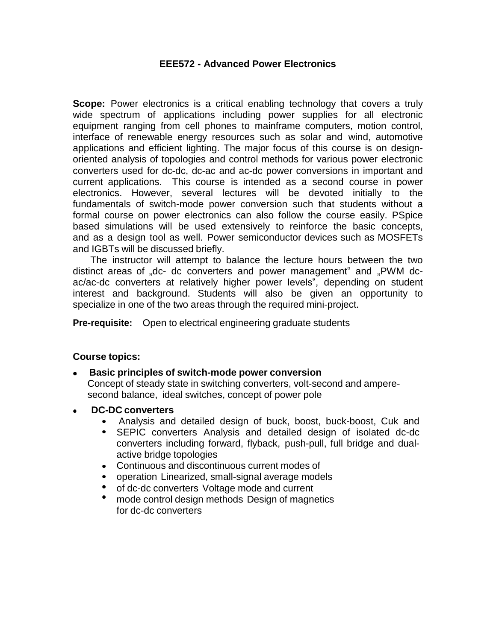#### **EEE572 - Advanced Power Electronics**

**Scope:** Power electronics is a critical enabling technology that covers a truly wide spectrum of applications including power supplies for all electronic equipment ranging from cell phones to mainframe computers, motion control, interface of renewable energy resources such as solar and wind, automotive applications and efficient lighting. The major focus of this course is on designoriented analysis of topologies and control methods for various power electronic converters used for dc-dc, dc-ac and ac-dc power conversions in important and current applications. This course is intended as a second course in power electronics. However, several lectures will be devoted initially to the fundamentals of switch-mode power conversion such that students without a formal course on power electronics can also follow the course easily. PSpice based simulations will be used extensively to reinforce the basic concepts, and as a design tool as well. Power semiconductor devices such as MOSFETs and IGBTs will be discussed briefly.

The instructor will attempt to balance the lecture hours between the two distinct areas of "dc- dc converters and power management" and "PWM dcac/ac-dc converters at relatively higher power levels", depending on student interest and background. Students will also be given an opportunity to specialize in one of the two areas through the required mini-project.

**Pre-requisite:** Open to electrical engineering graduate students

#### **Course topics:**

- **Basic principles of switch-mode power conversion** Concept of steady state in switching converters, volt-second and amperesecond balance, ideal switches, concept of power pole
- **DC-DC converters**
	- Analysis and detailed design of buck, boost, buck-boost, Cuk and
	- $\bullet$ SEPIC converters Analysis and detailed design of isolated dc-dc converters including forward, flyback, push-pull, full bridge and dualactive bridge topologies
	- Continuous and discontinuous current modes of
	- operation Linearized, small-signal average models
	- of dc-dc converters Voltage mode and current
	- $\bullet$ mode control design methods Design of magnetics for dc-dc converters